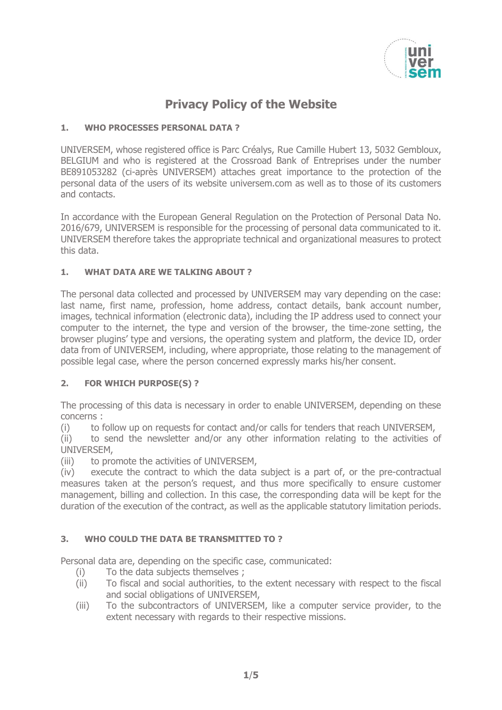

# **Privacy Policy of the Website**

### **1. WHO PROCESSES PERSONAL DATA ?**

UNIVERSEM, whose registered office is Parc Créalys, Rue Camille Hubert 13, 5032 Gembloux, BELGIUM and who is registered at the Crossroad Bank of Entreprises under the number BE891053282 (ci-après UNIVERSEM) attaches great importance to the protection of the personal data of the users of its website universem.com as well as to those of its customers and contacts.

In accordance with the European General Regulation on the Protection of Personal Data No. 2016/679, UNIVERSEM is responsible for the processing of personal data communicated to it. UNIVERSEM therefore takes the appropriate technical and organizational measures to protect this data.

#### **1. WHAT DATA ARE WE TALKING ABOUT ?**

The personal data collected and processed by UNIVERSEM may vary depending on the case: last name, first name, profession, home address, contact details, bank account number, images, technical information (electronic data), including the IP address used to connect your computer to the internet, the type and version of the browser, the time-zone setting, the browser plugins' type and versions, the operating system and platform, the device ID, order data from of UNIVERSEM, including, where appropriate, those relating to the management of possible legal case, where the person concerned expressly marks his/her consent.

#### **2. FOR WHICH PURPOSE(S) ?**

The processing of this data is necessary in order to enable UNIVERSEM, depending on these concerns :

(i) to follow up on requests for contact and/or calls for tenders that reach UNIVERSEM,

(ii) to send the newsletter and/or any other information relating to the activities of UNIVERSEM,

(iii) to promote the activities of UNIVERSEM,

(iv) execute the contract to which the data subject is a part of, or the pre-contractual measures taken at the person's request, and thus more specifically to ensure customer management, billing and collection. In this case, the corresponding data will be kept for the duration of the execution of the contract, as well as the applicable statutory limitation periods.

## **3. WHO COULD THE DATA BE TRANSMITTED TO ?**

Personal data are, depending on the specific case, communicated:

- (i) To the data subjects themselves ;
- (ii) To fiscal and social authorities, to the extent necessary with respect to the fiscal and social obligations of UNIVERSEM,
- (iii) To the subcontractors of UNIVERSEM, like a computer service provider, to the extent necessary with regards to their respective missions.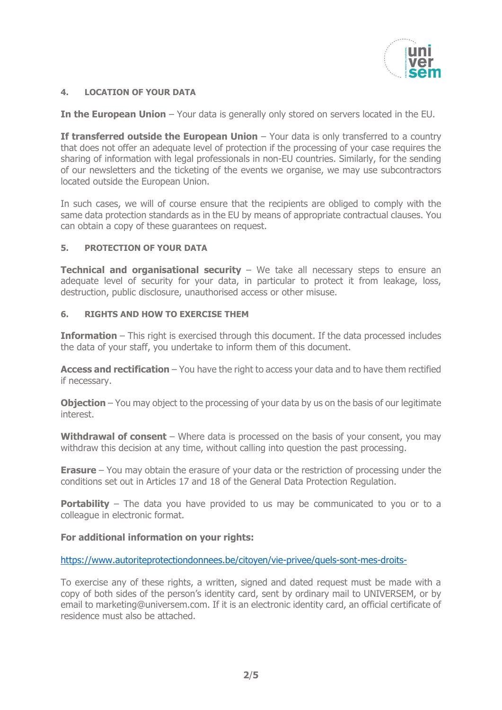

#### **4. LOCATION OF YOUR DATA**

**In the European Union** – Your data is generally only stored on servers located in the EU.

**If transferred outside the European Union** – Your data is only transferred to a country that does not offer an adequate level of protection if the processing of your case requires the sharing of information with legal professionals in non-EU countries. Similarly, for the sending of our newsletters and the ticketing of the events we organise, we may use subcontractors located outside the European Union.

In such cases, we will of course ensure that the recipients are obliged to comply with the same data protection standards as in the EU by means of appropriate contractual clauses. You can obtain a copy of these guarantees on request.

#### **5. PROTECTION OF YOUR DATA**

**Technical and organisational security** – We take all necessary steps to ensure an adequate level of security for your data, in particular to protect it from leakage, loss, destruction, public disclosure, unauthorised access or other misuse.

#### **6. RIGHTS AND HOW TO EXERCISE THEM**

**Information** – This right is exercised through this document. If the data processed includes the data of your staff, you undertake to inform them of this document.

**Access and rectification** – You have the right to access your data and to have them rectified if necessary.

**Objection** – You may object to the processing of your data by us on the basis of our legitimate interest.

Withdrawal of consent – Where data is processed on the basis of your consent, you may withdraw this decision at any time, without calling into question the past processing.

**Erasure** – You may obtain the erasure of your data or the restriction of processing under the conditions set out in Articles 17 and 18 of the General Data Protection Regulation.

**Portability** – The data you have provided to us may be communicated to you or to a colleague in electronic format.

#### **For additional information on your rights:**

<https://www.autoriteprotectiondonnees.be/citoyen/vie-privee/quels-sont-mes-droits->

To exercise any of these rights, a written, signed and dated request must be made with a copy of both sides of the person's identity card, sent by ordinary mail to UNIVERSEM, or by email to marketing@universem.com. If it is an electronic identity card, an official certificate of residence must also be attached.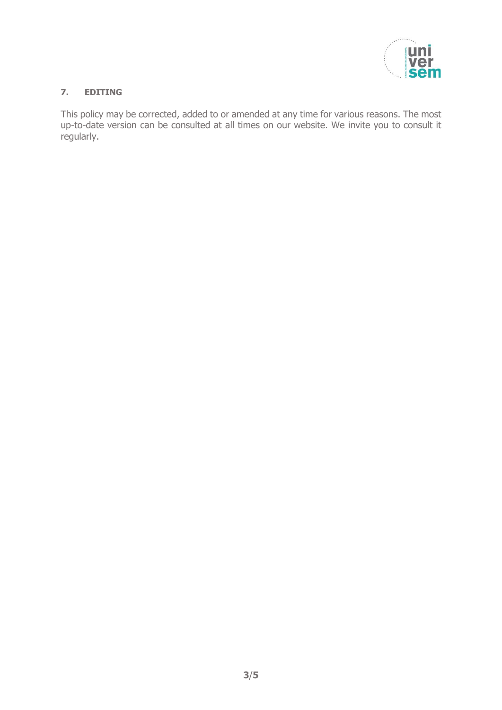

#### **7. EDITING**

This policy may be corrected, added to or amended at any time for various reasons. The most up-to-date version can be consulted at all times on our website. We invite you to consult it regularly.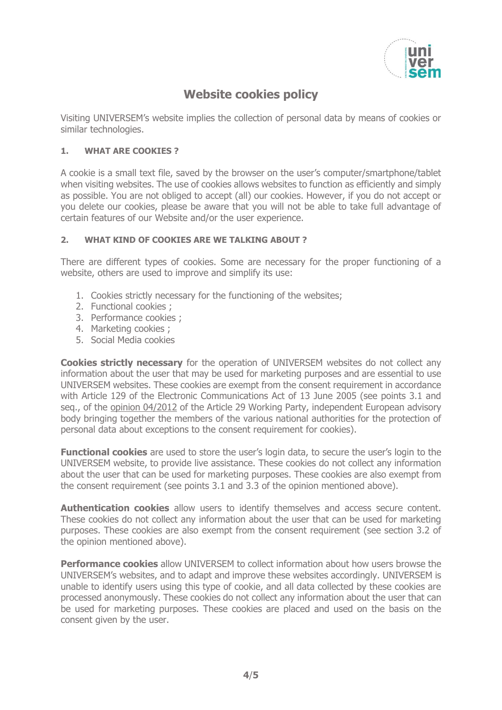

## **Website cookies policy**

Visiting UNIVERSEM's website implies the collection of personal data by means of cookies or similar technologies.

#### **1. WHAT ARE COOKIES ?**

A cookie is a small text file, saved by the browser on the user's computer/smartphone/tablet when visiting websites. The use of cookies allows websites to function as efficiently and simply as possible. You are not obliged to accept (all) our cookies. However, if you do not accept or you delete our cookies, please be aware that you will not be able to take full advantage of certain features of our Website and/or the user experience.

#### **2. WHAT KIND OF COOKIES ARE WE TALKING ABOUT ?**

There are different types of cookies. Some are necessary for the proper functioning of a website, others are used to improve and simplify its use:

- 1. Cookies strictly necessary for the functioning of the websites;
- 2. Functional cookies ;
- 3. Performance cookies ;
- 4. Marketing cookies ;
- 5. Social Media cookies

**Cookies strictly necessary** for the operation of UNIVERSEM websites do not collect any information about the user that may be used for marketing purposes and are essential to use UNIVERSEM websites. These cookies are exempt from the consent requirement in accordance with Article 129 of the Electronic Communications Act of 13 June 2005 (see points 3.1 and seq., of the [opinion 04/2012](http://ec.europa.eu/justice/data-protection/article-29/documentation/opinion-recommendation/files/2012/wp194_fr.pdf) of the Article 29 Working Party, independent European advisory body bringing together the members of the various national authorities for the protection of personal data about exceptions to the consent requirement for cookies).

**Functional cookies** are used to store the user's login data, to secure the user's login to the UNIVERSEM website, to provide live assistance. These cookies do not collect any information about the user that can be used for marketing purposes. These cookies are also exempt from the consent requirement (see points 3.1 and 3.3 of the opinion mentioned above).

**Authentication cookies** allow users to identify themselves and access secure content. These cookies do not collect any information about the user that can be used for marketing purposes. These cookies are also exempt from the consent requirement (see section 3.2 of the opinion mentioned above).

**Performance cookies** allow UNIVERSEM to collect information about how users browse the UNIVERSEM's websites, and to adapt and improve these websites accordingly. UNIVERSEM is unable to identify users using this type of cookie, and all data collected by these cookies are processed anonymously. These cookies do not collect any information about the user that can be used for marketing purposes. These cookies are placed and used on the basis on the consent given by the user.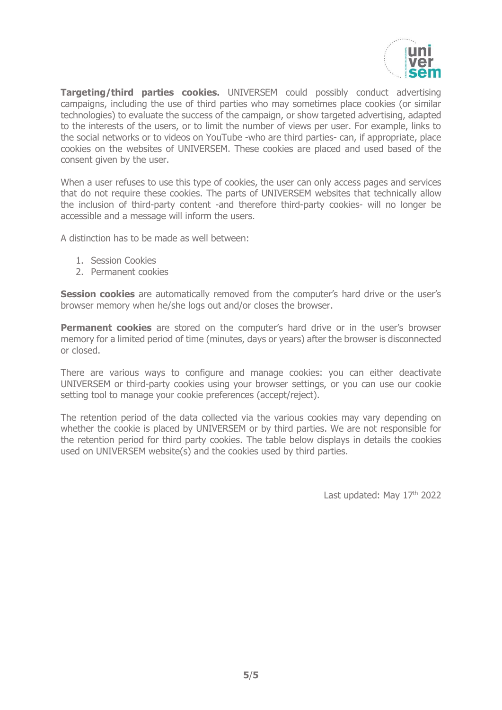

**Targeting/third parties cookies.** UNIVERSEM could possibly conduct advertising campaigns, including the use of third parties who may sometimes place cookies (or similar technologies) to evaluate the success of the campaign, or show targeted advertising, adapted to the interests of the users, or to limit the number of views per user. For example, links to the social networks or to videos on YouTube -who are third parties- can, if appropriate, place cookies on the websites of UNIVERSEM. These cookies are placed and used based of the consent given by the user.

When a user refuses to use this type of cookies, the user can only access pages and services that do not require these cookies. The parts of UNIVERSEM websites that technically allow the inclusion of third-party content -and therefore third-party cookies- will no longer be accessible and a message will inform the users.

A distinction has to be made as well between:

- 1. Session Cookies
- 2. Permanent cookies

**Session cookies** are automatically removed from the computer's hard drive or the user's browser memory when he/she logs out and/or closes the browser.

**Permanent cookies** are stored on the computer's hard drive or in the user's browser memory for a limited period of time (minutes, days or years) after the browser is disconnected or closed.

There are various ways to configure and manage cookies: you can either deactivate UNIVERSEM or third-party cookies using your browser settings, or you can use our cookie setting tool to manage your cookie preferences (accept/reject).

The retention period of the data collected via the various cookies may vary depending on whether the cookie is placed by UNIVERSEM or by third parties. We are not responsible for the retention period for third party cookies. The table below displays in details the cookies used on UNIVERSEM website(s) and the cookies used by third parties.

Last updated: May 17<sup>th</sup> 2022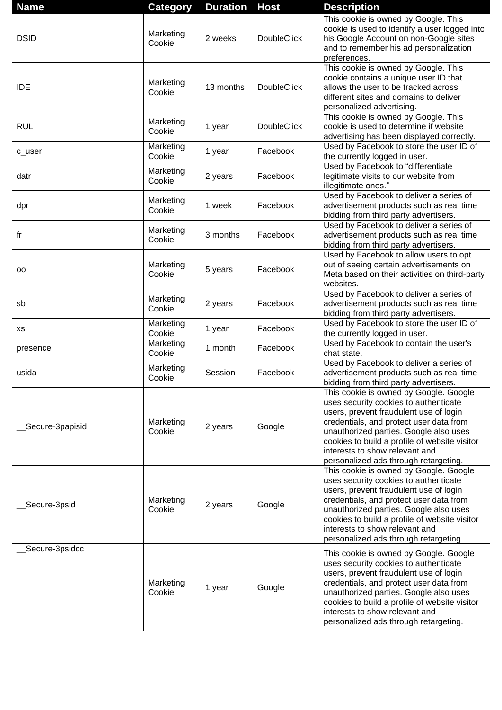| <b>Name</b>      | <b>Category</b>     | <b>Duration</b> | <b>Host</b>        | <b>Description</b>                                                                                                                                                                                                                                                                                                                         |
|------------------|---------------------|-----------------|--------------------|--------------------------------------------------------------------------------------------------------------------------------------------------------------------------------------------------------------------------------------------------------------------------------------------------------------------------------------------|
| <b>DSID</b>      | Marketing<br>Cookie | 2 weeks         | <b>DoubleClick</b> | This cookie is owned by Google. This<br>cookie is used to identify a user logged into<br>his Google Account on non-Google sites<br>and to remember his ad personalization<br>preferences.                                                                                                                                                  |
| <b>IDE</b>       | Marketing<br>Cookie | 13 months       | <b>DoubleClick</b> | This cookie is owned by Google. This<br>cookie contains a unique user ID that<br>allows the user to be tracked across<br>different sites and domains to deliver<br>personalized advertising.                                                                                                                                               |
| <b>RUL</b>       | Marketing<br>Cookie | 1 year          | <b>DoubleClick</b> | This cookie is owned by Google. This<br>cookie is used to determine if website<br>advertising has been displayed correctly.                                                                                                                                                                                                                |
| c_user           | Marketing<br>Cookie | 1 year          | Facebook           | Used by Facebook to store the user ID of<br>the currently logged in user.                                                                                                                                                                                                                                                                  |
| datr             | Marketing<br>Cookie | 2 years         | Facebook           | Used by Facebook to "differentiate<br>legitimate visits to our website from<br>illegitimate ones."                                                                                                                                                                                                                                         |
| dpr              | Marketing<br>Cookie | 1 week          | Facebook           | Used by Facebook to deliver a series of<br>advertisement products such as real time<br>bidding from third party advertisers.                                                                                                                                                                                                               |
| fr               | Marketing<br>Cookie | 3 months        | Facebook           | Used by Facebook to deliver a series of<br>advertisement products such as real time<br>bidding from third party advertisers.                                                                                                                                                                                                               |
| oo               | Marketing<br>Cookie | 5 years         | Facebook           | Used by Facebook to allow users to opt<br>out of seeing certain advertisements on<br>Meta based on their activities on third-party<br>websites.                                                                                                                                                                                            |
| sb               | Marketing<br>Cookie | 2 years         | Facebook           | Used by Facebook to deliver a series of<br>advertisement products such as real time<br>bidding from third party advertisers.                                                                                                                                                                                                               |
| хs               | Marketing<br>Cookie | 1 year          | Facebook           | Used by Facebook to store the user ID of<br>the currently logged in user.                                                                                                                                                                                                                                                                  |
| presence         | Marketing<br>Cookie | 1 month         | Facebook           | Used by Facebook to contain the user's<br>chat state.                                                                                                                                                                                                                                                                                      |
| usida            | Marketing<br>Cookie | Session         | Facebook           | Used by Facebook to deliver a series of<br>advertisement products such as real time<br>bidding from third party advertisers.                                                                                                                                                                                                               |
| _Secure-3papisid | Marketing<br>Cookie | 2 years         | Google             | This cookie is owned by Google. Google<br>uses security cookies to authenticate<br>users, prevent fraudulent use of login<br>credentials, and protect user data from<br>unauthorized parties. Google also uses<br>cookies to build a profile of website visitor<br>interests to show relevant and<br>personalized ads through retargeting. |
| _Secure-3psid    | Marketing<br>Cookie | 2 years         | Google             | This cookie is owned by Google. Google<br>uses security cookies to authenticate<br>users, prevent fraudulent use of login<br>credentials, and protect user data from<br>unauthorized parties. Google also uses<br>cookies to build a profile of website visitor<br>interests to show relevant and<br>personalized ads through retargeting. |
| _Secure-3psidcc  | Marketing<br>Cookie | 1 year          | Google             | This cookie is owned by Google. Google<br>uses security cookies to authenticate<br>users, prevent fraudulent use of login<br>credentials, and protect user data from<br>unauthorized parties. Google also uses<br>cookies to build a profile of website visitor<br>interests to show relevant and<br>personalized ads through retargeting. |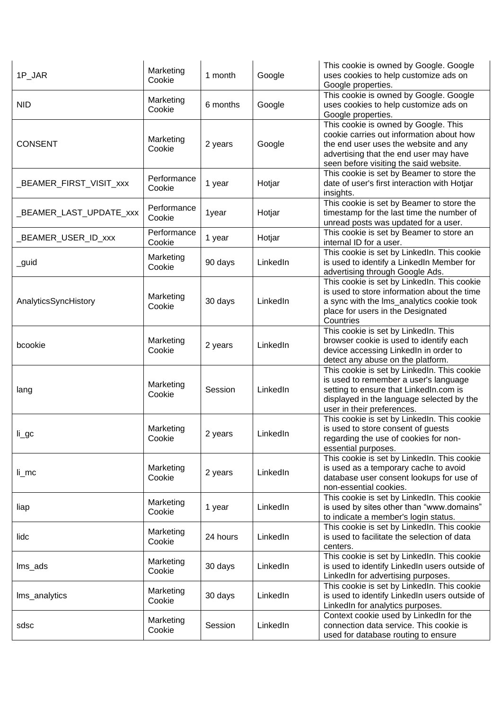| 1P_JAR                  | Marketing<br>Cookie   | 1 month  | Google   | This cookie is owned by Google. Google<br>uses cookies to help customize ads on<br>Google properties.                                                                                                         |
|-------------------------|-----------------------|----------|----------|---------------------------------------------------------------------------------------------------------------------------------------------------------------------------------------------------------------|
| <b>NID</b>              | Marketing<br>Cookie   | 6 months | Google   | This cookie is owned by Google. Google<br>uses cookies to help customize ads on<br>Google properties.                                                                                                         |
| <b>CONSENT</b>          | Marketing<br>Cookie   | 2 years  | Google   | This cookie is owned by Google. This<br>cookie carries out information about how<br>the end user uses the website and any<br>advertising that the end user may have<br>seen before visiting the said website. |
| _BEAMER_FIRST_VISIT_xxx | Performance<br>Cookie | 1 year   | Hotjar   | This cookie is set by Beamer to store the<br>date of user's first interaction with Hotjar<br>insights.                                                                                                        |
| _BEAMER_LAST_UPDATE_xxx | Performance<br>Cookie | 1year    | Hotjar   | This cookie is set by Beamer to store the<br>timestamp for the last time the number of<br>unread posts was updated for a user.                                                                                |
| _BEAMER_USER_ID_xxx     | Performance<br>Cookie | 1 year   | Hotjar   | This cookie is set by Beamer to store an<br>internal ID for a user.                                                                                                                                           |
| _guid                   | Marketing<br>Cookie   | 90 days  | LinkedIn | This cookie is set by LinkedIn. This cookie<br>is used to identify a LinkedIn Member for<br>advertising through Google Ads.                                                                                   |
| AnalyticsSyncHistory    | Marketing<br>Cookie   | 30 days  | LinkedIn | This cookie is set by LinkedIn. This cookie<br>is used to store information about the time<br>a sync with the Ims_analytics cookie took<br>place for users in the Designated<br>Countries                     |
| bcookie                 | Marketing<br>Cookie   | 2 years  | LinkedIn | This cookie is set by LinkedIn. This<br>browser cookie is used to identify each<br>device accessing LinkedIn in order to<br>detect any abuse on the platform.                                                 |
| lang                    | Marketing<br>Cookie   | Session  | LinkedIn | This cookie is set by LinkedIn. This cookie<br>is used to remember a user's language<br>setting to ensure that LinkedIn.com is<br>displayed in the language selected by the<br>user in their preferences.     |
| $li\_gc$                | Marketing<br>Cookie   | 2 years  | LinkedIn | This cookie is set by LinkedIn. This cookie<br>is used to store consent of guests<br>regarding the use of cookies for non-<br>essential purposes.                                                             |
| $li$ <sub>mc</sub>      | Marketing<br>Cookie   | 2 years  | LinkedIn | This cookie is set by LinkedIn. This cookie<br>is used as a temporary cache to avoid<br>database user consent lookups for use of<br>non-essential cookies.                                                    |
| liap                    | Marketing<br>Cookie   | 1 year   | LinkedIn | This cookie is set by LinkedIn. This cookie<br>is used by sites other than "www.domains"<br>to indicate a member's login status.                                                                              |
| lidc                    | Marketing<br>Cookie   | 24 hours | LinkedIn | This cookie is set by LinkedIn. This cookie<br>is used to facilitate the selection of data<br>centers.                                                                                                        |
| Ims_ads                 | Marketing<br>Cookie   | 30 days  | LinkedIn | This cookie is set by LinkedIn. This cookie<br>is used to identify LinkedIn users outside of<br>LinkedIn for advertising purposes.                                                                            |
| Ims_analytics           | Marketing<br>Cookie   | 30 days  | LinkedIn | This cookie is set by LinkedIn. This cookie<br>is used to identify LinkedIn users outside of<br>LinkedIn for analytics purposes.                                                                              |
| sdsc                    | Marketing<br>Cookie   | Session  | LinkedIn | Context cookie used by LinkedIn for the<br>connection data service. This cookie is<br>used for database routing to ensure                                                                                     |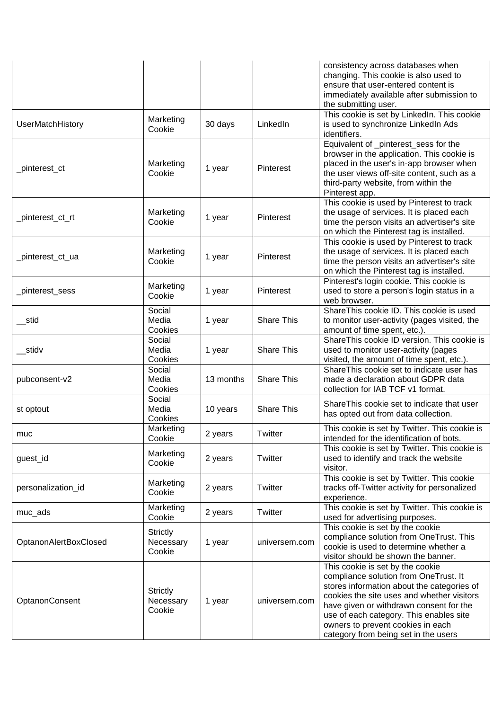|                       |                                        |           |                   | consistency across databases when<br>changing. This cookie is also used to<br>ensure that user-entered content is<br>immediately available after submission to<br>the submitting user.                                                                                                                                                   |
|-----------------------|----------------------------------------|-----------|-------------------|------------------------------------------------------------------------------------------------------------------------------------------------------------------------------------------------------------------------------------------------------------------------------------------------------------------------------------------|
| UserMatchHistory      | Marketing<br>Cookie                    | 30 days   | LinkedIn          | This cookie is set by LinkedIn. This cookie<br>is used to synchronize LinkedIn Ads<br>identifiers.                                                                                                                                                                                                                                       |
| _pinterest_ct         | Marketing<br>Cookie                    | 1 year    | Pinterest         | Equivalent of _pinterest_sess for the<br>browser in the application. This cookie is<br>placed in the user's in-app browser when<br>the user views off-site content, such as a<br>third-party website, from within the<br>Pinterest app.                                                                                                  |
| _pinterest_ct_rt      | Marketing<br>Cookie                    | 1 year    | Pinterest         | This cookie is used by Pinterest to track<br>the usage of services. It is placed each<br>time the person visits an advertiser's site<br>on which the Pinterest tag is installed.                                                                                                                                                         |
| _pinterest_ct_ua      | Marketing<br>Cookie                    | 1 year    | Pinterest         | This cookie is used by Pinterest to track<br>the usage of services. It is placed each<br>time the person visits an advertiser's site<br>on which the Pinterest tag is installed.                                                                                                                                                         |
| _pinterest_sess       | Marketing<br>Cookie                    | 1 year    | Pinterest         | Pinterest's login cookie. This cookie is<br>used to store a person's login status in a<br>web browser.                                                                                                                                                                                                                                   |
| stid                  | Social<br>Media<br>Cookies             | 1 year    | <b>Share This</b> | ShareThis cookie ID. This cookie is used<br>to monitor user-activity (pages visited, the<br>amount of time spent, etc.).                                                                                                                                                                                                                 |
| __stidv               | Social<br>Media<br>Cookies             | 1 year    | <b>Share This</b> | ShareThis cookie ID version. This cookie is<br>used to monitor user-activity (pages<br>visited, the amount of time spent, etc.).                                                                                                                                                                                                         |
| pubconsent-v2         | Social<br>Media<br>Cookies             | 13 months | <b>Share This</b> | ShareThis cookie set to indicate user has<br>made a declaration about GDPR data<br>collection for IAB TCF v1 format.                                                                                                                                                                                                                     |
| st optout             | Social<br>Media<br>Cookies             | 10 years  | <b>Share This</b> | ShareThis cookie set to indicate that user<br>has opted out from data collection.                                                                                                                                                                                                                                                        |
| muc                   | Marketing<br>Cookie                    | 2 years   | Twitter           | This cookie is set by Twitter. This cookie is<br>intended for the identification of bots.                                                                                                                                                                                                                                                |
| guest_id              | Marketing<br>Cookie                    | 2 years   | Twitter           | This cookie is set by Twitter. This cookie is<br>used to identify and track the website<br>visitor.                                                                                                                                                                                                                                      |
| personalization_id    | Marketing<br>Cookie                    | 2 years   | Twitter           | This cookie is set by Twitter. This cookie<br>tracks off-Twitter activity for personalized<br>experience.                                                                                                                                                                                                                                |
| muc_ads               | Marketing<br>Cookie                    | 2 years   | Twitter           | This cookie is set by Twitter. This cookie is<br>used for advertising purposes.                                                                                                                                                                                                                                                          |
| OptanonAlertBoxClosed | <b>Strictly</b><br>Necessary<br>Cookie | 1 year    | universem.com     | This cookie is set by the cookie<br>compliance solution from OneTrust. This<br>cookie is used to determine whether a<br>visitor should be shown the banner.                                                                                                                                                                              |
| OptanonConsent        | <b>Strictly</b><br>Necessary<br>Cookie | 1 year    | universem.com     | This cookie is set by the cookie<br>compliance solution from OneTrust. It<br>stores information about the categories of<br>cookies the site uses and whether visitors<br>have given or withdrawn consent for the<br>use of each category. This enables site<br>owners to prevent cookies in each<br>category from being set in the users |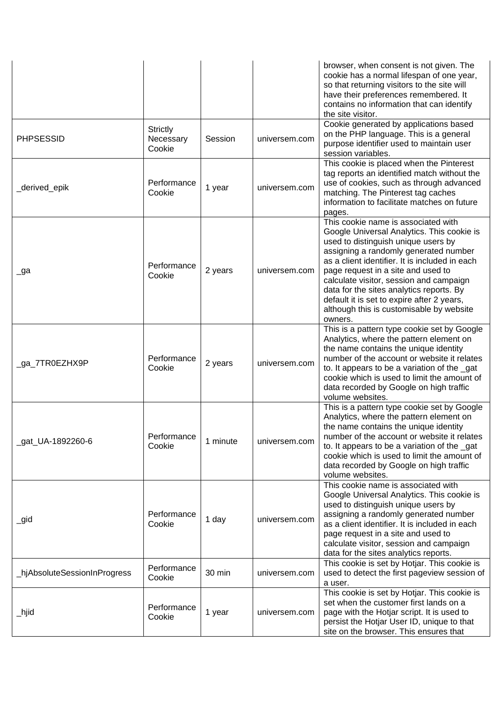|                              |                                        |          |               | browser, when consent is not given. The<br>cookie has a normal lifespan of one year,<br>so that returning visitors to the site will<br>have their preferences remembered. It<br>contains no information that can identify<br>the site visitor.                                                                                                                                                                                                        |
|------------------------------|----------------------------------------|----------|---------------|-------------------------------------------------------------------------------------------------------------------------------------------------------------------------------------------------------------------------------------------------------------------------------------------------------------------------------------------------------------------------------------------------------------------------------------------------------|
| <b>PHPSESSID</b>             | <b>Strictly</b><br>Necessary<br>Cookie | Session  | universem.com | Cookie generated by applications based<br>on the PHP language. This is a general<br>purpose identifier used to maintain user<br>session variables.                                                                                                                                                                                                                                                                                                    |
| _derived_epik                | Performance<br>Cookie                  | 1 year   | universem.com | This cookie is placed when the Pinterest<br>tag reports an identified match without the<br>use of cookies, such as through advanced<br>matching. The Pinterest tag caches<br>information to facilitate matches on future<br>pages.                                                                                                                                                                                                                    |
| _ga                          | Performance<br>Cookie                  | 2 years  | universem.com | This cookie name is associated with<br>Google Universal Analytics. This cookie is<br>used to distinguish unique users by<br>assigning a randomly generated number<br>as a client identifier. It is included in each<br>page request in a site and used to<br>calculate visitor, session and campaign<br>data for the sites analytics reports. By<br>default it is set to expire after 2 years,<br>although this is customisable by website<br>owners. |
| _ga_7TR0EZHX9P               | Performance<br>Cookie                  | 2 years  | universem.com | This is a pattern type cookie set by Google<br>Analytics, where the pattern element on<br>the name contains the unique identity<br>number of the account or website it relates<br>to. It appears to be a variation of the gat<br>cookie which is used to limit the amount of<br>data recorded by Google on high traffic<br>volume websites.                                                                                                           |
| _gat_UA-1892260-6            | Performance<br>Cookie                  | 1 minute | universem.com | This is a pattern type cookie set by Google<br>Analytics, where the pattern element on<br>the name contains the unique identity<br>number of the account or website it relates<br>to. It appears to be a variation of the gat<br>cookie which is used to limit the amount of<br>data recorded by Google on high traffic<br>volume websites.                                                                                                           |
| _gid                         | Performance<br>Cookie                  | 1 day    | universem.com | This cookie name is associated with<br>Google Universal Analytics. This cookie is<br>used to distinguish unique users by<br>assigning a randomly generated number<br>as a client identifier. It is included in each<br>page request in a site and used to<br>calculate visitor, session and campaign<br>data for the sites analytics reports.                                                                                                         |
| _hjAbsoluteSessionInProgress | Performance<br>Cookie                  | 30 min   | universem.com | This cookie is set by Hotjar. This cookie is<br>used to detect the first pageview session of<br>a user.                                                                                                                                                                                                                                                                                                                                               |
| _hjid                        | Performance<br>Cookie                  | 1 year   | universem.com | This cookie is set by Hotjar. This cookie is<br>set when the customer first lands on a<br>page with the Hotjar script. It is used to<br>persist the Hotjar User ID, unique to that<br>site on the browser. This ensures that                                                                                                                                                                                                                          |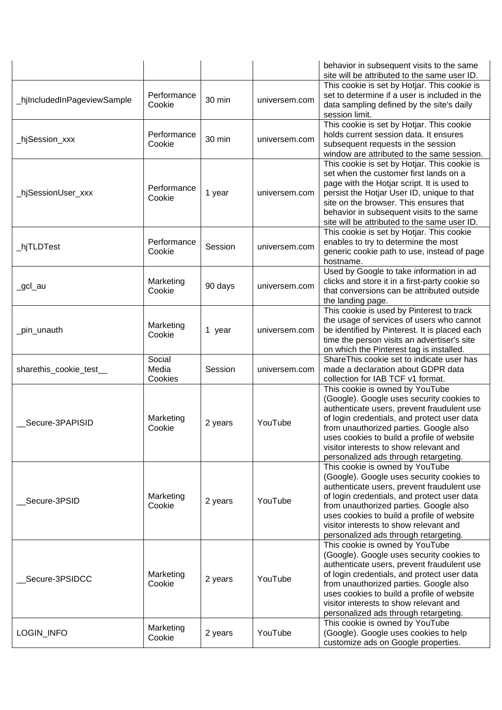|                             |                            |         |               | behavior in subsequent visits to the same<br>site will be attributed to the same user ID.                                                                                                                                                                                                                                                            |
|-----------------------------|----------------------------|---------|---------------|------------------------------------------------------------------------------------------------------------------------------------------------------------------------------------------------------------------------------------------------------------------------------------------------------------------------------------------------------|
| _hjIncludedInPageviewSample | Performance<br>Cookie      | 30 min  | universem.com | This cookie is set by Hotjar. This cookie is<br>set to determine if a user is included in the<br>data sampling defined by the site's daily<br>session limit.                                                                                                                                                                                         |
| _hjSession_xxx              | Performance<br>Cookie      | 30 min  | universem.com | This cookie is set by Hotjar. This cookie<br>holds current session data. It ensures<br>subsequent requests in the session<br>window are attributed to the same session.                                                                                                                                                                              |
| _hjSessionUser_xxx          | Performance<br>Cookie      | 1 year  | universem.com | This cookie is set by Hotjar. This cookie is<br>set when the customer first lands on a<br>page with the Hotjar script. It is used to<br>persist the Hotjar User ID, unique to that<br>site on the browser. This ensures that<br>behavior in subsequent visits to the same<br>site will be attributed to the same user ID.                            |
| _hjTLDTest                  | Performance<br>Cookie      | Session | universem.com | This cookie is set by Hotjar. This cookie<br>enables to try to determine the most<br>generic cookie path to use, instead of page<br>hostname.                                                                                                                                                                                                        |
| _gcl_au                     | Marketing<br>Cookie        | 90 days | universem.com | Used by Google to take information in ad<br>clicks and store it in a first-party cookie so<br>that conversions can be attributed outside<br>the landing page.                                                                                                                                                                                        |
| _pin_unauth                 | Marketing<br>Cookie        | 1 year  | universem.com | This cookie is used by Pinterest to track<br>the usage of services of users who cannot<br>be identified by Pinterest. It is placed each<br>time the person visits an advertiser's site<br>on which the Pinterest tag is installed.                                                                                                                   |
| sharethis_cookie_test_      | Social<br>Media<br>Cookies | Session | universem.com | ShareThis cookie set to indicate user has<br>made a declaration about GDPR data<br>collection for IAB TCF v1 format.                                                                                                                                                                                                                                 |
| Secure-3PAPISID             | Marketing<br>Cookie        | 2 years | YouTube       | This cookie is owned by YouTube<br>(Google). Google uses security cookies to<br>authenticate users, prevent fraudulent use<br>of login credentials, and protect user data<br>from unauthorized parties. Google also<br>uses cookies to build a profile of website<br>visitor interests to show relevant and<br>personalized ads through retargeting. |
| Secure-3PSID                | Marketing<br>Cookie        | 2 years | YouTube       | This cookie is owned by YouTube<br>(Google). Google uses security cookies to<br>authenticate users, prevent fraudulent use<br>of login credentials, and protect user data<br>from unauthorized parties. Google also<br>uses cookies to build a profile of website<br>visitor interests to show relevant and<br>personalized ads through retargeting. |
| Secure-3PSIDCC              | Marketing<br>Cookie        | 2 years | YouTube       | This cookie is owned by YouTube<br>(Google). Google uses security cookies to<br>authenticate users, prevent fraudulent use<br>of login credentials, and protect user data<br>from unauthorized parties. Google also<br>uses cookies to build a profile of website<br>visitor interests to show relevant and<br>personalized ads through retargeting. |
| LOGIN_INFO                  | Marketing<br>Cookie        | 2 years | YouTube       | This cookie is owned by YouTube<br>(Google). Google uses cookies to help<br>customize ads on Google properties.                                                                                                                                                                                                                                      |